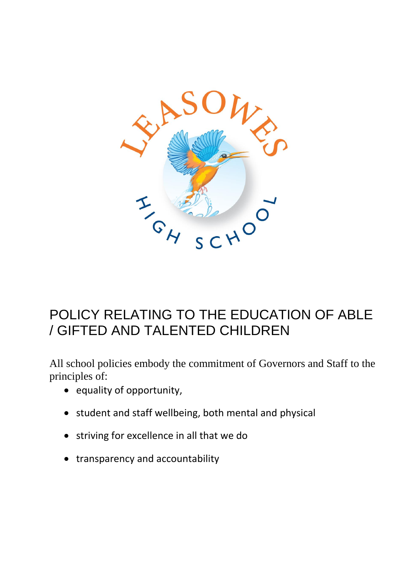

# POLICY RELATING TO THE EDUCATION OF ABLE / GIFTED AND TALENTED CHILDREN

All school policies embody the commitment of Governors and Staff to the principles of:

- equality of opportunity,
- student and staff wellbeing, both mental and physical
- striving for excellence in all that we do
- transparency and accountability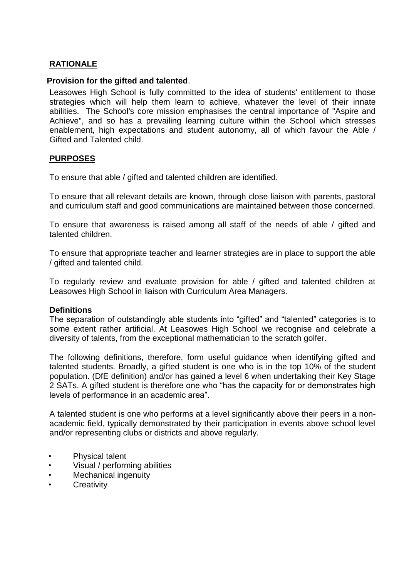## **RATIONALE**

#### **Provision for the gifted and talented**.

Leasowes High School is fully committed to the idea of students' entitlement to those strategies which will help them learn to achieve, whatever the level of their innate abilities. The School's core mission emphasises the central importance of "Aspire and Achieve", and so has a prevailing learning culture within the School which stresses enablement, high expectations and student autonomy, all of which favour the Able / Gifted and Talented child.

### **PURPOSES**

To ensure that able / gifted and talented children are identified.

To ensure that all relevant details are known, through close liaison with parents, pastoral and curriculum staff and good communications are maintained between those concerned.

To ensure that awareness is raised among all staff of the needs of able / gifted and talented children.

To ensure that appropriate teacher and learner strategies are in place to support the able / gifted and talented child.

To regularly review and evaluate provision for able / gifted and talented children at Leasowes High School in liaison with Curriculum Area Managers.

#### **Definitions**

The separation of outstandingly able students into "gifted" and "talented" categories is to some extent rather artificial. At Leasowes High School we recognise and celebrate a diversity of talents, from the exceptional mathematician to the scratch golfer.

The following definitions, therefore, form useful guidance when identifying gifted and talented students. Broadly, a gifted student is one who is in the top 10% of the student population. (DfE definition) and/or has gained a level 6 when undertaking their Key Stage 2 SATs. A gifted student is therefore one who "has the capacity for or demonstrates high levels of performance in an academic area".

A talented student is one who performs at a level significantly above their peers in a nonacademic field, typically demonstrated by their participation in events above school level and/or representing clubs or districts and above regularly.

- Physical talent
- Visual / performing abilities
- Mechanical ingenuity
- **Creativity**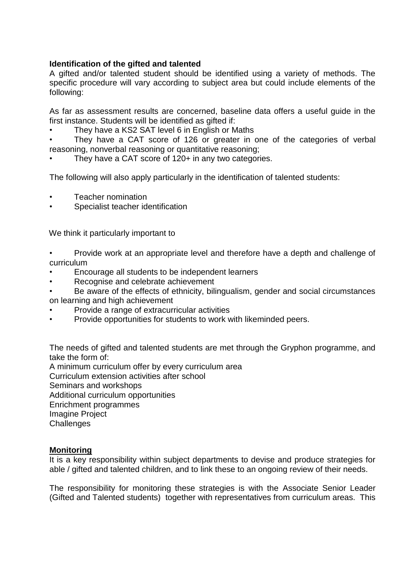### **Identification of the gifted and talented**

A gifted and/or talented student should be identified using a variety of methods. The specific procedure will vary according to subject area but could include elements of the following:

As far as assessment results are concerned, baseline data offers a useful guide in the first instance. Students will be identified as gifted if:

They have a KS2 SAT level 6 in English or Maths

They have a CAT score of 126 or greater in one of the categories of verbal reasoning, nonverbal reasoning or quantitative reasoning;

They have a CAT score of 120+ in any two categories.

The following will also apply particularly in the identification of talented students:

- Teacher nomination
- Specialist teacher identification

We think it particularly important to

- Provide work at an appropriate level and therefore have a depth and challenge of curriculum
- Encourage all students to be independent learners
- Recognise and celebrate achievement
- Be aware of the effects of ethnicity, bilingualism, gender and social circumstances on learning and high achievement
- Provide a range of extracurricular activities
- Provide opportunities for students to work with likeminded peers.

The needs of gifted and talented students are met through the Gryphon programme, and take the form of:

A minimum curriculum offer by every curriculum area Curriculum extension activities after school Seminars and workshops Additional curriculum opportunities Enrichment programmes Imagine Project **Challenges** 

### **Monitoring**

It is a key responsibility within subject departments to devise and produce strategies for able / gifted and talented children, and to link these to an ongoing review of their needs.

The responsibility for monitoring these strategies is with the Associate Senior Leader (Gifted and Talented students) together with representatives from curriculum areas. This